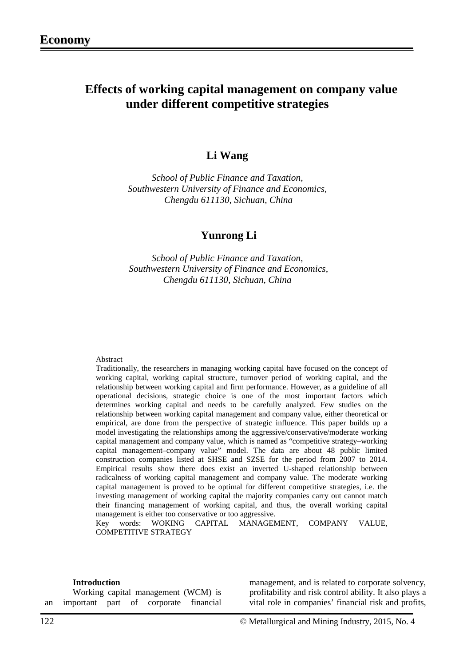## **Effects of working capital management on company value under different competitive strategies**

## **Li Wang**

*School of Public Finance and Taxation, Southwestern University of Finance and Economics, Chengdu 611130, Sichuan, China*

## **Yunrong Li**

*School of Public Finance and Taxation, Southwestern University of Finance and Economics, Chengdu 611130, Sichuan, China*

#### Abstract

Traditionally, the researchers in managing working capital have focused on the concept of working capital, working capital structure, turnover period of working capital, and the relationship between working capital and firm performance. However, as a guideline of all operational decisions, strategic choice is one of the most important factors which determines working capital and needs to be carefully analyzed. Few studies on the relationship between working capital management and company value, either theoretical or empirical, are done from the perspective of strategic influence. This paper builds up a model investigating the relationships among the aggressive/conservative/moderate working capital management and company value, which is named as "competitive strategy–working capital management–company value" model. The data are about 48 public limited construction companies listed at SHSE and SZSE for the period from 2007 to 2014. Empirical results show there does exist an inverted U-shaped relationship between radicalness of working capital management and company value. The moderate working capital management is proved to be optimal for different competitive strategies, i.e. the investing management of working capital the majority companies carry out cannot match their financing management of working capital, and thus, the overall working capital management is either too conservative or too aggressive.

Key words: WOKING CAPITAL MANAGEMENT, COMPANY VALUE, COMPETITIVE STRATEGY

#### **Introduction**

Working capital management (WCM) is an important part of corporate financial

management, and is related to corporate solvency, profitability and risk control ability. It also plays a vital role in companies' financial risk and profits,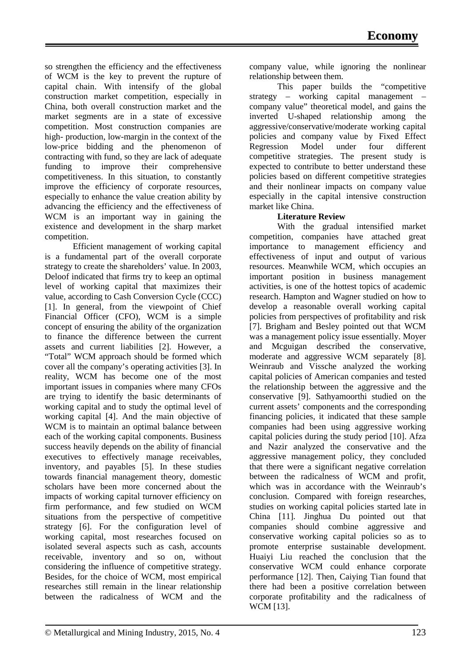so strengthen the efficiency and the effectiveness of WCM is the key to prevent the rupture of capital chain. With intensify of the global construction market competition, especially in China, both overall construction market and the market segments are in a state of excessive competition. Most construction companies are high- production, low-margin in the context of the low-price bidding and the phenomenon of contracting with fund, so they are lack of adequate funding to improve their comprehensive competitiveness. In this situation, to constantly improve the efficiency of corporate resources, especially to enhance the value creation ability by advancing the efficiency and the effectiveness of WCM is an important way in gaining the existence and development in the sharp market competition.

Efficient management of working capital is a fundamental part of the overall corporate strategy to create the shareholders' value. In 2003, Deloof indicated that firms try to keep an optimal level of working capital that maximizes their value, according to Cash Conversion Cycle (CCC) [1]. In general, from the viewpoint of Chief Financial Officer (CFO), WCM is a simple concept of ensuring the ability of the organization to finance the difference between the current assets and current liabilities [2]. However, a "Total" WCM approach should be formed which cover all the company's operating activities [3]. In reality, WCM has become one of the most important issues in companies where many CFOs are trying to identify the basic determinants of working capital and to study the optimal level of working capital [4]. And the main objective of WCM is to maintain an optimal balance between each of the working capital components. Business success heavily depends on the ability of financial executives to effectively manage receivables, inventory, and payables [5]. In these studies towards financial management theory, domestic scholars have been more concerned about the impacts of working capital turnover efficiency on firm performance, and few studied on WCM situations from the perspective of competitive strategy [6]. For the configuration level of working capital, most researches focused on isolated several aspects such as cash, accounts receivable, inventory and so on, without considering the influence of competitive strategy. Besides, for the choice of WCM, most empirical researches still remain in the linear relationship between the radicalness of WCM and the

company value, while ignoring the nonlinear relationship between them.

This paper builds the "competitive strategy – working capital management – company value" theoretical model, and gains the inverted U-shaped relationship among the aggressive/conservative/moderate working capital policies and company value by Fixed Effect Regression Model under four different competitive strategies. The present study is expected to contribute to better understand these policies based on different competitive strategies and their nonlinear impacts on company value especially in the capital intensive construction market like China.

#### **Literature Review**

With the gradual intensified market competition, companies have attached great importance to management efficiency and effectiveness of input and output of various resources. Meanwhile WCM, which occupies an important position in business management activities, is one of the hottest topics of academic research. Hampton and Wagner studied on how to develop a reasonable overall working capital policies from perspectives of profitability and risk [7]. Brigham and Besley pointed out that WCM was a management policy issue essentially. Moyer and Mcguigan described the conservative, moderate and aggressive WCM separately [8]. Weinraub and Vissche analyzed the working capital policies of American companies and tested the relationship between the aggressive and the conservative [9]. Sathyamoorthi studied on the current assets' components and the corresponding financing policies, it indicated that these sample companies had been using aggressive working capital policies during the study period [10]. Afza and Nazir analyzed the conservative and the aggressive management policy, they concluded that there were a significant negative correlation between the radicalness of WCM and profit, which was in accordance with the Weinraub's conclusion. Compared with foreign researches, studies on working capital policies started late in China [11]. Jinghua Du pointed out that companies should combine aggressive and conservative working capital policies so as to promote enterprise sustainable development. Huaiyi Liu reached the conclusion that the conservative WCM could enhance corporate performance [12]. Then, Caiying Tian found that there had been a positive correlation between corporate profitability and the radicalness of WCM [13].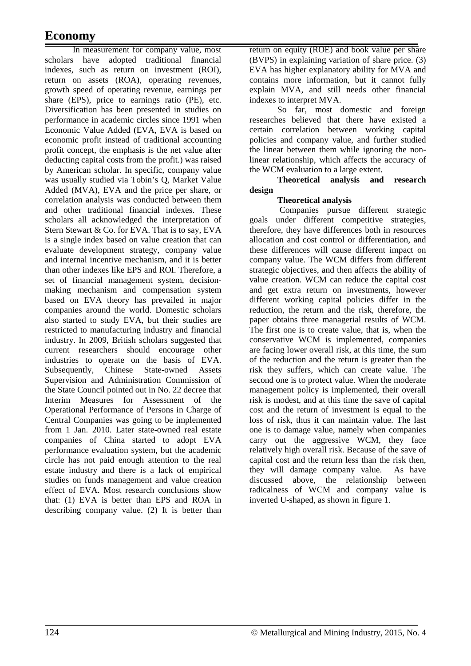# **Economy**

In measurement for company value, most scholars have adopted traditional financial indexes, such as return on investment (ROI), return on assets (ROA), operating revenues, growth speed of operating revenue, earnings per share (EPS), price to earnings ratio (PE), etc. Diversification has been presented in studies on performance in academic circles since 1991 when Economic Value Added (EVA, EVA is based on economic profit instead of traditional accounting profit concept, the emphasis is the net value after deducting capital costs from the profit.) was raised by American scholar. In specific, company value was usually studied via Tobin's Q, Market Value Added (MVA), EVA and the price per share, or correlation analysis was conducted between them and other traditional financial indexes. These scholars all acknowledged the interpretation of Stern Stewart & Co. for EVA. That is to say, EVA is a single index based on value creation that can evaluate development strategy, company value and internal incentive mechanism, and it is better than other indexes like EPS and ROI. Therefore, a set of financial management system, decisionmaking mechanism and compensation system based on EVA theory has prevailed in major companies around the world. Domestic scholars also started to study EVA, but their studies are restricted to manufacturing industry and financial industry. In 2009, British scholars suggested that current researchers should encourage other industries to operate on the basis of EVA. Subsequently, Chinese State-owned Assets Supervision and Administration Commission of the State Council pointed out in No. 22 decree that Interim Measures for Assessment of the Operational Performance of Persons in Charge of Central Companies was going to be implemented from 1 Jan. 2010. Later state-owned real estate companies of China started to adopt EVA performance evaluation system, but the academic circle has not paid enough attention to the real estate industry and there is a lack of empirical studies on funds management and value creation effect of EVA. Most research conclusions show that: (1) EVA is better than EPS and ROA in describing company value. (2) It is better than

return on equity (ROE) and book value per share (BVPS) in explaining variation of share price. (3) EVA has higher explanatory ability for MVA and contains more information, but it cannot fully explain MVA, and still needs other financial indexes to interpret MVA.

So far, most domestic and foreign researches believed that there have existed a certain correlation between working capital policies and company value, and further studied the linear between them while ignoring the nonlinear relationship, which affects the accuracy of the WCM evaluation to a large extent.

#### **Theoretical analysis and research design**

### **Theoretical analysis**

Companies pursue different strategic goals under different competitive strategies, therefore, they have differences both in resources allocation and cost control or differentiation, and these differences will cause different impact on company value. The WCM differs from different strategic objectives, and then affects the ability of value creation. WCM can reduce the capital cost and get extra return on investments, however different working capital policies differ in the reduction, the return and the risk, therefore, the paper obtains three managerial results of WCM. The first one is to create value, that is, when the conservative WCM is implemented, companies are facing lower overall risk, at this time, the sum of the reduction and the return is greater than the risk they suffers, which can create value. The second one is to protect value. When the moderate management policy is implemented, their overall risk is modest, and at this time the save of capital cost and the return of investment is equal to the loss of risk, thus it can maintain value. The last one is to damage value, namely when companies carry out the aggressive WCM, they face relatively high overall risk. Because of the save of capital cost and the return less than the risk then, they will damage company value. As have discussed above, the relationship between radicalness of WCM and company value is inverted U-shaped, as shown in figure 1.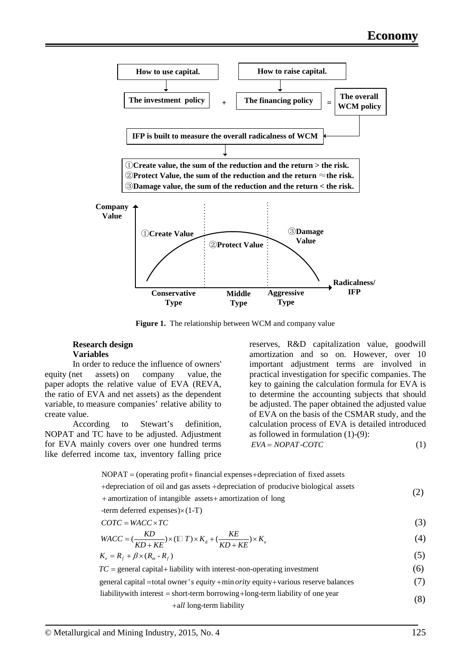

**Figure 1.** The relationship between WCM and company value

#### **Research design Variables**

In order to reduce the influence of owners' equity (net assets) on company value, the paper adopts the relative value of EVA (REVA, the ratio of EVA and net assets) as the dependent variable, to measure companies' relative ability to create value.

According to Stewart's definition, NOPAT and TC have to be adjusted. Adjustment for EVA mainly covers over one hundred terms like deferred income tax, inventory falling price reserves, R&D capitalization value, goodwill amortization and so on. However, over 10 important adjustment terms are involved in practical investigation for specific companies. The key to gaining the calculation formula for EVA is to determine the accounting subjects that should be adjusted. The paper obtained the adjusted value of EVA on the basis of the CSMAR study, and the calculation process of EVA is detailed introduced as followed in formulation (1)-(9):  $EVA = NOPAT-COTC$  (1)

 $NOPAT = (operating profit + financial expenses + depreciation of fixed assets)$ +depreciation of oil and gas assets +depreciation of producive biological assets + amortization of intangible assets+ amortization of long -term deferred expenses $)\times(1-T)$  (2)  $COTC = WACC \times TC$  (3)  $WACC = (\frac{KD}{KD + KE}) \times (\mathbb{1} \mathbb{I} T) \times K_d + (\frac{KE}{KD + KE}) \times K_e$  (4)  $K_e = R_f + \beta \times (R_m - R_f)$  (5)  $TC =$  general capital + liability with interest-non-operating investment (6) general capital  $=$ total owner 's equity  $+$  min ority equity  $+$  various reserve balances (7) liability with interest = short-term borrowing + long-term liability of one year  $+all$  long-term liability  $(8)$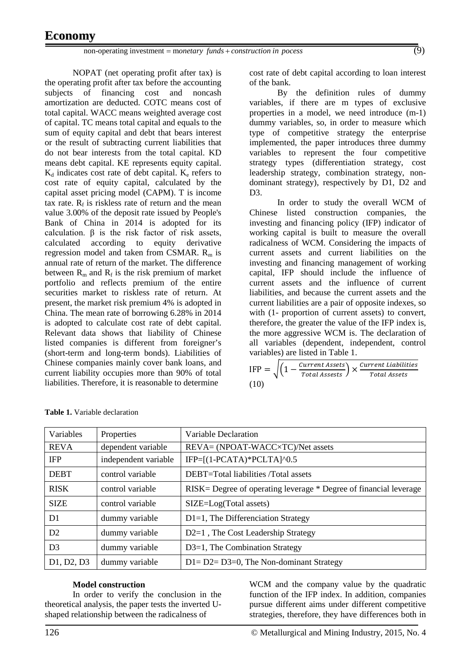NOPAT (net operating profit after tax) is the operating profit after tax before the accounting subjects of financing cost and noncash amortization are deducted. COTC means cost of total capital. WACC means weighted average cost of capital. TC means total capital and equals to the sum of equity capital and debt that bears interest or the result of subtracting current liabilities that do not bear interests from the total capital. KD means debt capital. KE represents equity capital.  $K_d$  indicates cost rate of debt capital.  $K_e$  refers to cost rate of equity capital, calculated by the capital asset pricing model (CAPM). T is income tax rate.  $R_f$  is riskless rate of return and the mean value 3.00% of the deposit rate issued by People's Bank of China in 2014 is adopted for its calculation. β is the risk factor of risk assets, calculated according to equity derivative regression model and taken from CSMAR.  $R_m$  is annual rate of return of the market. The difference between  $R_m$  and  $R_f$  is the risk premium of market portfolio and reflects premium of the entire securities market to riskless rate of return. At present, the market risk premium 4% is adopted in China. The mean rate of borrowing 6.28% in 2014 is adopted to calculate cost rate of debt capital. Relevant data shows that liability of Chinese listed companies is different from foreigner's (short-term and long-term bonds). Liabilities of Chinese companies mainly cover bank loans, and current liability occupies more than 90% of total liabilities. Therefore, it is reasonable to determine

cost rate of debt capital according to loan interest of the bank.

By the definition rules of dummy variables, if there are m types of exclusive properties in a model, we need introduce (m-1) dummy variables, so, in order to measure which type of competitive strategy the enterprise implemented, the paper introduces three dummy variables to represent the four competitive strategy types (differentiation strategy, cost leadership strategy, combination strategy, nondominant strategy), respectively by D1, D2 and D3.

In order to study the overall WCM of Chinese listed construction companies, the investing and financing policy (IFP) indicator of working capital is built to measure the overall radicalness of WCM. Considering the impacts of current assets and current liabilities on the investing and financing management of working capital, IFP should include the influence of current assets and the influence of current liabilities, and because the current assets and the current liabilities are a pair of opposite indexes, so with (1- proportion of current assets) to convert, therefore, the greater the value of the IFP index is, the more aggressive WCM is. The declaration of all variables (dependent, independent, control variables) are listed in Table 1.

$$
IFP = \sqrt{\left(1 - \frac{Current\,Assets}{Total\,Assests}\right) \times \frac{Current\,Liabilities}{Total\,Assets}}
$$
\n(10)

| Variables                                        | Properties           | Variable Declaration                                               |
|--------------------------------------------------|----------------------|--------------------------------------------------------------------|
| <b>REVA</b>                                      | dependent variable   | REVA= (NPOAT-WACC×TC)/Net assets                                   |
| <b>IFP</b>                                       | independent variable | $IFP=[(1-PCATA)*PCLTA]0.5$                                         |
| <b>DEBT</b>                                      | control variable     | DEBT=Total liabilities /Total assets                               |
| <b>RISK</b>                                      | control variable     | RISK = Degree of operating leverage * Degree of financial leverage |
| <b>SIZE</b>                                      | control variable     | $SIZE = Log(Total assets)$                                         |
| D1                                               | dummy variable       | D1=1, The Differenciation Strategy                                 |
| D <sub>2</sub>                                   | dummy variable       | D2=1, The Cost Leadership Strategy                                 |
| D <sub>3</sub>                                   | dummy variable       | D3=1, The Combination Strategy                                     |
| D <sub>1</sub> , D <sub>2</sub> , D <sub>3</sub> | dummy variable       | $D1 = D2 = D3 = 0$ , The Non-dominant Strategy                     |

| <b>Table 1.</b> Variable declaration |  |  |  |  |
|--------------------------------------|--|--|--|--|
|--------------------------------------|--|--|--|--|

#### **Model construction**

In order to verify the conclusion in the theoretical analysis, the paper tests the inverted Ushaped relationship between the radicalness of

WCM and the company value by the quadratic function of the IFP index. In addition, companies pursue different aims under different competitive strategies, therefore, they have differences both in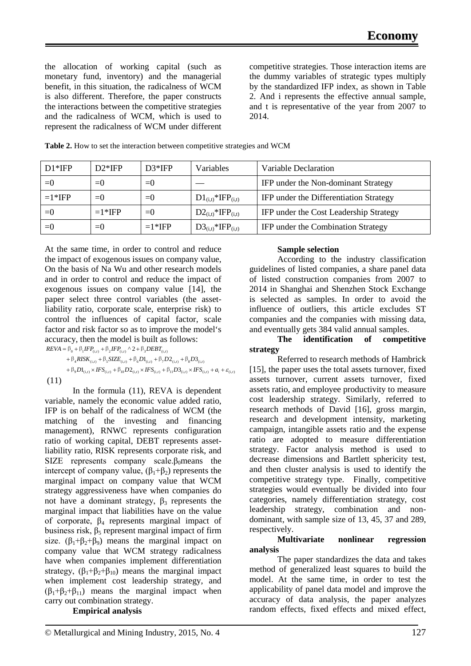the allocation of working capital (such as monetary fund, inventory) and the managerial benefit, in this situation, the radicalness of WCM is also different. Therefore, the paper constructs the interactions between the competitive strategies and the radicalness of WCM, which is used to represent the radicalness of WCM under different competitive strategies. Those interaction items are the dummy variables of strategic types multiply by the standardized IFP index, as shown in Table 2. And i represents the effective annual sample, and t is representative of the year from 2007 to 2014.

| $D1*$ IFP | $D2*$ IFP | $D3*IFP$    | Variables                          | Variable Declaration                   |
|-----------|-----------|-------------|------------------------------------|----------------------------------------|
| $= 0$     | $=()$     | $= 0$       |                                    | IFP under the Non-dominant Strategy    |
| $=1*$ IFP | $=()$     | $\equiv$ () | $D1_{(i,t)}$ *IFP <sub>(i,t)</sub> | IFP under the Differentiation Strategy |
| $= 0$     | $=1*$ IFP | $= 0$       | $D2_{(i,t)}$ *IFP <sub>(i,t)</sub> | IFP under the Cost Leadership Strategy |
| $= 0$     | $=()$     | $=1*$ IFP   | $D3_{(i,t)}$ *IFP <sub>(i,t)</sub> | IFP under the Combination Strategy     |

At the same time, in order to control and reduce the impact of exogenous issues on company value, On the basis of Na Wu and other research models and in order to control and reduce the impact of exogenous issues on company value [14], the paper select three control variables (the assetliability ratio, corporate scale, enterprise risk) to control the influences of capital factor, scale factor and risk factor so as to improve the model's accuracy, then the model is built as follows:  $REVA = \beta_0 + \beta_1 IFP_{(i,t)} + \beta_2 IFP_{(i,t)} \wedge 2 + \beta_3 DEBT_{(i,t)}$ 

 $+\beta_4 RISK_{(i,t)} + \beta_5 SIZE_{(i,t)} + \beta_6 D1_{(i,t)} + \beta_7 D2_{(i,t)} + \beta_8 D3_{(i,t)}$  $+ \beta_9 D1_{(i,t)} \times HSS_{(i,t)} + \beta_{10} D2_{(i,t)} \times HSS_{(i,t)} + \beta_{11} D3_{(i,t)} \times HSS_{(i,t)} + a_i + \varepsilon_{(i,t)}$ (11)

In the formula (11), REVA is dependent variable, namely the economic value added ratio, IFP is on behalf of the radicalness of WCM (the matching of the investing and financing management), RNWC represents configuration ratio of working capital, DEBT represents assetliability ratio, RISK represents corporate risk, and SIZE represents company scale. $\beta_0$ means the intercept of company value,  $(\beta_1 + \beta_2)$  represents the marginal impact on company value that WCM strategy aggressiveness have when companies do not have a dominant strategy,  $β_3$  represents the marginal impact that liabilities have on the value of corporate,  $\beta_4$  represents marginal impact of business risk,  $β_5$  represent marginal impact of firm size.  $(\beta_1 + \beta_2 + \beta_9)$  means the marginal impact on company value that WCM strategy radicalness have when companies implement differentiation strategy,  $(\beta_1 + \beta_2 + \beta_{10})$  means the marginal impact when implement cost leadership strategy, and  $(\beta_1+\beta_2+\beta_{11})$  means the marginal impact when carry out combination strategy.

#### **Empirical analysis**

### **Sample selection**

According to the industry classification guidelines of listed companies, a share panel data of listed construction companies from 2007 to 2014 in Shanghai and Shenzhen Stock Exchange is selected as samples. In order to avoid the influence of outliers, this article excludes ST companies and the companies with missing data, and eventually gets 384 valid annual samples.

#### **The identification of competitive strategy**

Referred to research methods of Hambrick [15], the paper uses the total assets turnover, fixed assets turnover, current assets turnover, fixed assets ratio, and employee productivity to measure cost leadership strategy. Similarly, referred to research methods of David [16], gross margin, research and development intensity, marketing campaign, intangible assets ratio and the expense ratio are adopted to measure differentiation strategy. Factor analysis method is used to decrease dimensions and Bartlett sphericity test, and then cluster analysis is used to identify the competitive strategy type. Finally, competitive strategies would eventually be divided into four categories, namely differentiation strategy, cost leadership strategy, combination and nondominant, with sample size of 13, 45, 37 and 289, respectively.

#### **Multivariate nonlinear regression analysis**

The paper standardizes the data and takes method of generalized least squares to build the model. At the same time, in order to test the applicability of panel data model and improve the accuracy of data analysis, the paper analyzes random effects, fixed effects and mixed effect,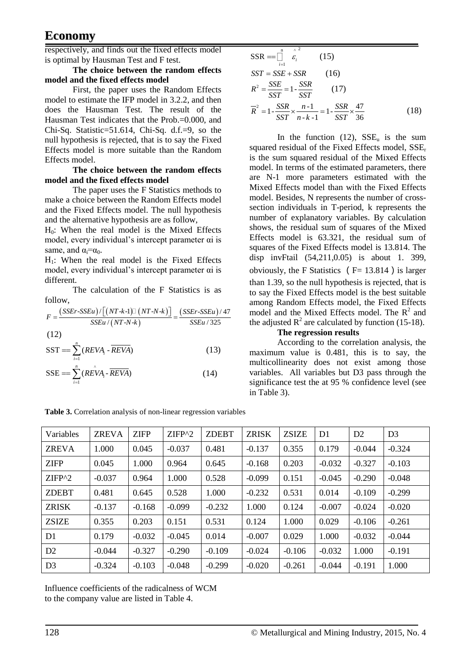## **Economy**

respectively, and finds out the fixed effects model is optimal by Hausman Test and F test.

#### **The choice between the random effects model and the fixed effects model**

First, the paper uses the Random Effects model to estimate the IFP model in 3.2.2, and then does the Hausman Test. The result of the Hausman Test indicates that the Prob.=0.000, and Chi-Sq. Statistic=51.614, Chi-Sq. d.f.=9, so the null hypothesis is rejected, that is to say the Fixed Effects model is more suitable than the Random Effects model.

#### **The choice between the random effects model and the fixed effects model**

The paper uses the F Statistics methods to make a choice between the Random Effects model and the Fixed Effects model. The null hypothesis and the alternative hypothesis are as follow,

H0: When the real model is the Mixed Effects model, every individual's intercept parameter αi is same, and  $\alpha = \alpha_0$ .

 $H_1$ : When the real model is the Fixed Effects model, every individual's intercept parameter αi is different.

The calculation of the F Statistics is as follow,

$$
F = \frac{(SSET - SSEu) / [(NT - k - 1)] (NT - N - k)}{SSEu / (NT - N - k)} = \frac{(SSET - SSEu) / 47}{SSEu / 325}
$$
\n(12)

$$
SST = \sum_{i=1}^{n} (REVA_i - \overline{REVA})
$$
 (13)

$$
SSE = \sum_{i=1}^{n} (R\hat{EVA}_i - \overline{REVA})
$$
 (14)

| Table 3. Correlation analysis of non-linear regression variables |  |  |  |  |
|------------------------------------------------------------------|--|--|--|--|
|------------------------------------------------------------------|--|--|--|--|

| $\wedge$ 2<br>$SSR = \Box$<br>$\mathcal{E}_i$<br>$i=1$                                                                   | (15) |      |
|--------------------------------------------------------------------------------------------------------------------------|------|------|
| $SST = SSE + SSR$                                                                                                        | (16) |      |
| $R^2 = \frac{SSE}{S} = 1 - \frac{SSR}{S}$<br>SST SST                                                                     | (17) |      |
| $\overline{R}^2 = 1 - \frac{SSR}{X} \times \frac{n-1}{X} = 1 - \frac{SSR}{X} \times \frac{47}{X}$<br>$SST$ $n-k-1$ $SST$ | 36   | (18) |

In the function (12),  $SSE_u$  is the sum squared residual of the Fixed Effects model, SSE<sub>r</sub> is the sum squared residual of the Mixed Effects model. In terms of the estimated parameters, there are N-1 more parameters estimated with the Mixed Effects model than with the Fixed Effects model. Besides, N represents the number of crosssection individuals in T-period, k represents the number of explanatory variables. By calculation shows, the residual sum of squares of the Mixed Effects model is 63.321, the residual sum of squares of the Fixed Effects model is 13.814. The disp invFtail (54,211,0.05) is about 1. 399, obviously, the F Statistics ( $F= 13.814$ ) is larger than 1.39, so the null hypothesis is rejected, that is to say the Fixed Effects model is the best suitable among Random Effects model, the Fixed Effects model and the Mixed Effects model. The  $R^2$  and the adjusted  $\mathbb{R}^2$  are calculated by function (15-18).

## **The regression results**

According to the correlation analysis, the maximum value is 0.481, this is to say, the multicollinearity does not exist among those variables. All variables but D3 pass through the significance test the at 95 % confidence level (see in Table 3).

| Variables      | <b>ZREVA</b> | <b>ZIFP</b> | $ZIFP^2$ | <b>ZDEBT</b> | <b>ZRISK</b> | <b>ZSIZE</b> | D <sub>1</sub> | D2       | D <sub>3</sub> |
|----------------|--------------|-------------|----------|--------------|--------------|--------------|----------------|----------|----------------|
| <b>ZREVA</b>   | 1.000        | 0.045       | $-0.037$ | 0.481        | $-0.137$     | 0.355        | 0.179          | $-0.044$ | $-0.324$       |
| <b>ZIFP</b>    | 0.045        | 1.000       | 0.964    | 0.645        | $-0.168$     | 0.203        | $-0.032$       | $-0.327$ | $-0.103$       |
| $ZIFP^2$       | $-0.037$     | 0.964       | 1.000    | 0.528        | $-0.099$     | 0.151        | $-0.045$       | $-0.290$ | $-0.048$       |
| <b>ZDEBT</b>   | 0.481        | 0.645       | 0.528    | 1.000        | $-0.232$     | 0.531        | 0.014          | $-0.109$ | $-0.299$       |
| <b>ZRISK</b>   | $-0.137$     | $-0.168$    | $-0.099$ | $-0.232$     | 1.000        | 0.124        | $-0.007$       | $-0.024$ | $-0.020$       |
| <b>ZSIZE</b>   | 0.355        | 0.203       | 0.151    | 0.531        | 0.124        | 1.000        | 0.029          | $-0.106$ | $-0.261$       |
| D <sub>1</sub> | 0.179        | $-0.032$    | $-0.045$ | 0.014        | $-0.007$     | 0.029        | 1.000          | $-0.032$ | $-0.044$       |
| D2             | $-0.044$     | $-0.327$    | $-0.290$ | $-0.109$     | $-0.024$     | $-0.106$     | $-0.032$       | 1.000    | $-0.191$       |
| D <sub>3</sub> | $-0.324$     | $-0.103$    | $-0.048$ | $-0.299$     | $-0.020$     | $-0.261$     | $-0.044$       | $-0.191$ | 1.000          |

Influence coefficients of the radicalness of WCM to the company value are listed in Table 4.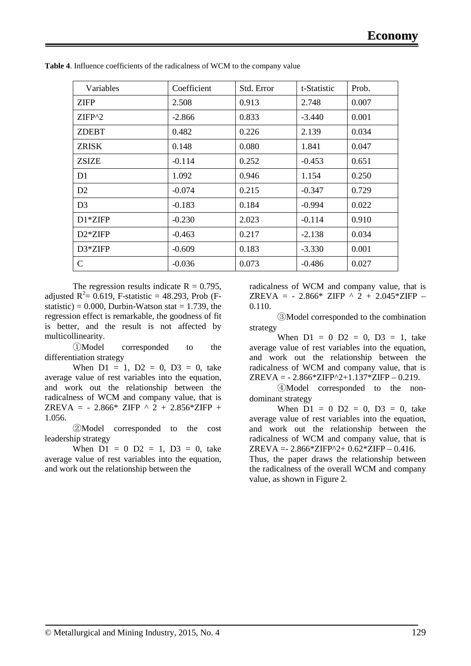| Variables      | Coefficient | Std. Error | t-Statistic | Prob. |
|----------------|-------------|------------|-------------|-------|
| <b>ZIFP</b>    | 2.508       | 0.913      | 2.748       | 0.007 |
| ZIFP^2         | $-2.866$    | 0.833      | $-3.440$    | 0.001 |
| <b>ZDEBT</b>   | 0.482       | 0.226      | 2.139       | 0.034 |
| ZRISK          | 0.148       | 0.080      | 1.841       | 0.047 |
| <b>ZSIZE</b>   | $-0.114$    | 0.252      | $-0.453$    | 0.651 |
| D <sub>1</sub> | 1.092       | 0.946      | 1.154       | 0.250 |
| D2             | $-0.074$    | 0.215      | $-0.347$    | 0.729 |
| D <sub>3</sub> | $-0.183$    | 0.184      | $-0.994$    | 0.022 |
| $D1*ZIFP$      | $-0.230$    | 2.023      | $-0.114$    | 0.910 |
| $D2*ZIFP$      | $-0.463$    | 0.217      | $-2.138$    | 0.034 |
| $D3*ZIFP$      | $-0.609$    | 0.183      | $-3.330$    | 0.001 |
| $\mathbf C$    | $-0.036$    | 0.073      | $-0.486$    | 0.027 |

**Table 4**. Influence coefficients of the radicalness of WCM to the company value

The regression results indicate  $R = 0.795$ , adjusted  $R^2 = 0.619$ , F-statistic = 48.293, Prob (Fstatistic) =  $0.000$ , Durbin-Watson stat = 1.739, the regression effect is remarkable, the goodness of fit is better, and the result is not affected by multicollinearity.

①Model corresponded to the differentiation strategy

When  $D1 = 1$ ,  $D2 = 0$ ,  $D3 = 0$ , take average value of rest variables into the equation, and work out the relationship between the radicalness of WCM and company value, that is ZREVA = - 2.866\* ZIFP ^ 2 + 2.856\*ZIFP + 1.056.

②Model corresponded to the cost leadership strategy

When  $D1 = 0$   $D2 = 1$ ,  $D3 = 0$ , take average value of rest variables into the equation, and work out the relationship between the

radicalness of WCM and company value, that is ZREVA =  $-2.866*$  ZIFP  $\wedge$  2  $+ 2.045*$ ZIFP – 0.110.

③Model corresponded to the combination strategy

When  $D1 = 0$   $D2 = 0$ ,  $D3 = 1$ , take average value of rest variables into the equation, and work out the relationship between the radicalness of WCM and company value, that is  $ZREVA = -2.866*ZIFP^2+1.137*ZIFP - 0.219.$ 

④Model corresponded to the nondominant strategy

When  $D1 = 0$   $D2 = 0$ ,  $D3 = 0$ , take average value of rest variables into the equation, and work out the relationship between the radicalness of WCM and company value, that is ZREVA =  $-2.866*ZIFP^2+0.62*ZIFP - 0.416.$ 

Thus, the paper draws the relationship between the radicalness of the overall WCM and company value, as shown in Figure 2.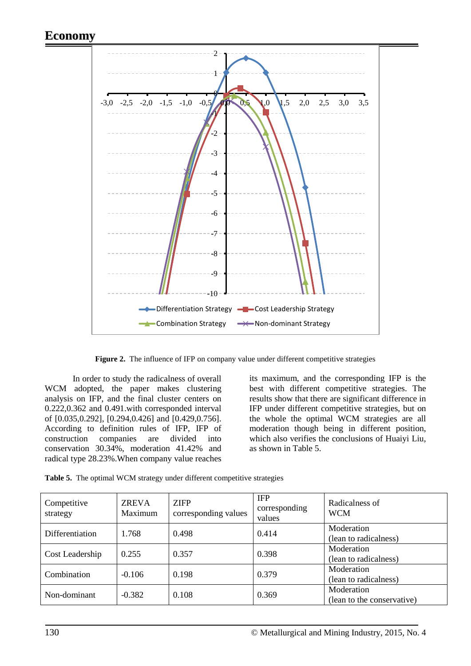## **Economy**



Figure 2. The influence of IFP on company value under different competitive strategies

In order to study the radicalness of overall WCM adopted, the paper makes clustering analysis on IFP, and the final cluster centers on 0.222,0.362 and 0.491.with corresponded interval of [0.035,0.292], [0.294,0.426] and [0.429,0.756]. According to definition rules of IFP, IFP of construction companies are divided into conservation 30.34%, moderation 41.42% and radical type 28.23%.When company value reaches its maximum, and the corresponding IFP is the best with different competitive strategies. The results show that there are significant difference in IFP under different competitive strategies, but on the whole the optimal WCM strategies are all moderation though being in different position, which also verifies the conclusions of Huaiyi Liu, as shown in Table 5.

|  |  |  |  | Table 5. The optimal WCM strategy under different competitive strategies |  |
|--|--|--|--|--------------------------------------------------------------------------|--|
|--|--|--|--|--------------------------------------------------------------------------|--|

| Competitive<br>strategy | <b>ZREVA</b><br>Maximum | <b>ZIFP</b><br>corresponding values | <b>IFP</b><br>corresponding<br>values | Radicalness of<br><b>WCM</b>             |
|-------------------------|-------------------------|-------------------------------------|---------------------------------------|------------------------------------------|
| Differentiation         | 1.768                   | 0.498                               | 0.414                                 | Moderation<br>(lean to radicalness)      |
| Cost Leadership         | 0.255                   | 0.357                               | 0.398                                 | Moderation<br>(lean to radicalness)      |
| Combination             | $-0.106$                | 0.198                               | 0.379                                 | Moderation<br>(lean to radicalness)      |
| Non-dominant            | $-0.382$                | 0.108                               | 0.369                                 | Moderation<br>(lean to the conservative) |